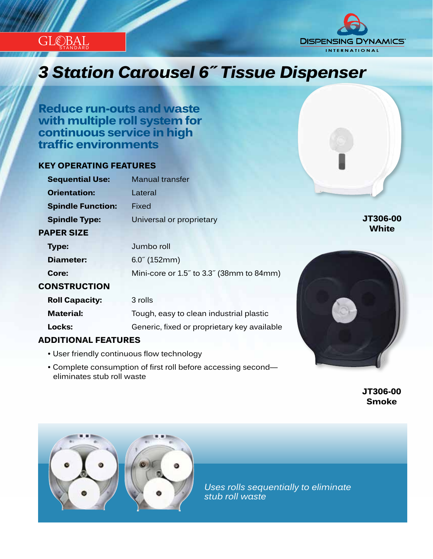



# *Innovation...Design...Solutions 3 Station Carousel 6˝ Tissue Dispenser*

**Reduce run-outs and waste with multiple roll system for continuous service in high traffic environments**

## **KEY OPERATING FEATURES**

| <b>Sequential Use:</b>     | <b>Manual transfer</b>                      |              |
|----------------------------|---------------------------------------------|--------------|
| <b>Orientation:</b>        | Lateral                                     |              |
| <b>Spindle Function:</b>   | Fixed                                       |              |
| <b>Spindle Type:</b>       | Universal or proprietary                    | JT306-00     |
| <b>PAPER SIZE</b>          |                                             | <b>White</b> |
| <b>Type:</b>               | Jumbo roll                                  |              |
| <b>Diameter:</b>           | $6.0^{\circ}$ (152mm)                       |              |
| Core:                      | Mini-core or 1.5" to 3.3" (38mm to 84mm)    |              |
| <b>CONSTRUCTION</b>        |                                             |              |
| <b>Roll Capacity:</b>      | 3 rolls                                     |              |
| <b>Material:</b>           | Tough, easy to clean industrial plastic     |              |
| Locks:                     | Generic, fixed or proprietary key available |              |
| <b>ADDITIONAL FEATURES</b> |                                             |              |

## **ADDITIONAL FEATURES**

- User friendly continuous flow technology
- Complete consumption of first roll before accessing second eliminates stub roll waste

 **JT306-00 Smoke**



*Uses rolls sequentially to eliminate stub roll waste*